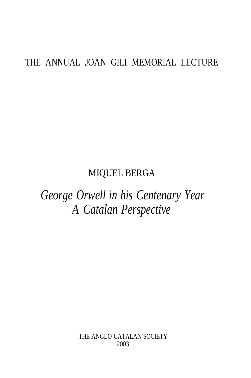# THE ANNUAL JOAN GILI MEMORIAL LECTURE

# MIQUEL BERGA

# *George Orwell in his Centenary Year A Catalan Perspective*

THE ANGLO-CATALAN SOCIETY 2003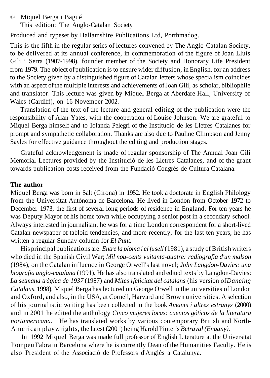#### © Miquel Berga i Bagué This edition: The Anglo-Catalan Society

Produced and typeset by Hallamshire Publications Ltd, Porthmadog.

This is the fifth in the regular series of lectures convened by The Anglo-Catalan Society, to be delivered at its annual conference, in commemoration of the figure of Joan Lluís Gili i Serra (1907-1998), founder member of the Society and Honorary Life President from 1979. The object of publication is to ensure wider diffusion, in English, for an address to the Society given by a distinguished figure of Catalan letters whose specialism coincides with an aspect of the multiple interests and achievements of Joan Gili, as scholar, bibliophile and translator. This lecture was given by Miquel Berga at Aberdare Hall, University of Wales (Cardiff), on 16 November 2002.

Translation of the text of the lecture and general editing of the publication were the responsibility of Alan Yates, with the cooperation of Louise Johnson. We are grateful to Miquel Berga himself and to Iolanda Pelegrí of the Institució de les Lletres Catalanes for prompt and sympathetic collaboration. Thanks are also due to Pauline Climpson and Jenny Sayles for effective guidance throughout the editing and production stages.

Grateful acknowledgement is made of regular sponsorship of The Annual Joan Gili Memorial Lectures provided by the Institució de les Lletres Catalanes, and of the grant towards publication costs received from the Fundació Congrés de Cultura Catalana.

#### **The author**

Miquel Berga was born in Salt (Girona) in 1952. He took a doctorate in English Philology from the Universitat Autònoma de Barcelona. He lived in London from October 1972 to December 1973, the first of several long periods of residence in England. For ten years he was Deputy Mayor of his home town while occupying a senior post in a secondary school. Always interested in journalism, he was for a time London correspondent for a short-lived Catalan newspaper of tabloid tendencies, and more recently, for the last ten years, he has written a regular Sunday column for *El Punt.*

His principal publications are: *Entre la ploma i el fusell* (1981), a study of British writers who died in the Spanish Civil War; *Mil nou-cents vuitanta-quatre: radiografia d'un malson* (1984), on the Catalan influence in George Orwell's last novel; *John Langdon-Davies: una biografia anglo-catalana* (1991). He has also translated and edited texts by Langdon-Davies: *La setmana tràgica de 1937* (1987) and *Mites i felicitat del catalans* (his version of*Dancing Catalans,* 1998). Miquel Berga has lectured on George Orwell in the universities of London and Oxford, and also, in the USA, at Cornell, Harvard and Brown universities. A selection of his journalistic writing has been collected in the book *Amants i altres estranys* (2000) and in 2001 he edited the anthology *Cinco mujeres locas: cuentos góticos de la literatura nortamericana.* He has translated works by various contemporary British and North-American playwrights, the latest (2001) being Harold Pinter's *Betrayal (Engany).*

In 1992 Miquel Berga was made full professor of English Literature at the Universitat Pompeu Fabra in Barcelona where he is currently Dean of the Humanities Faculty. He is also President of the Associació de Professors d'Anglès a Catalunya.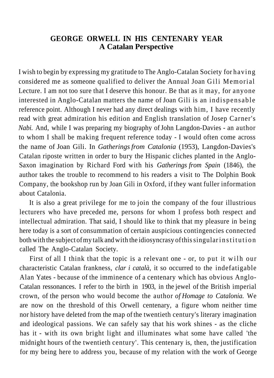### **GEORGE ORWELL IN HIS CENTENARY YEAR A Catalan Perspective**

I wish to begin by expressing my gratitude to The Anglo-Catalan Society for having considered me as someone qualified to deliver the Annual Joan Gili Memorial Lecture. I am not too sure that I deserve this honour. Be that as it may, for anyone interested in Anglo-Catalan matters the name of Joan Gili is an indispensable reference point. Although I never had any direct dealings with him, I have recently read with great admiration his edition and English translation of Josep Carner's *Nabi.* And, while I was preparing my biography of John Langdon-Davies - an author to whom I shall be making frequent reference today - I would often come across the name of Joan Gili. In *Gatherings from Catalonia* (1953), Langdon-Davies's Catalan riposte written in order to bury the Hispanic cliches planted in the Anglo-Saxon imagination by Richard Ford with his *Gatherings from Spain* (1846), the author takes the trouble to recommend to his readers a visit to The Dolphin Book Company, the bookshop run by Joan Gili in Oxford, if they want fuller information about Catalonia.

It is also a great privilege for me to join the company of the four illustrious lecturers who have preceded me, persons for whom I profess both respect and intellectual admiration. That said, I should like to think that my pleasure in being here today is a sort of consummation of certain auspicious contingencies connected both with the subject of my talk and with the idiosyncrasy of this singular institutio n called The Anglo-Catalan Society.

First of all I think that the topic is a relevant one - or, to put it will our characteristic Catalan frankness, *clar i català,* it so occurred to the indefatigable Alan Yates - because of the imminence of a centenary which has obvious Anglo-Catalan ressonances. I refer to the birth in 1903, in the jewel of the British imperial crown, of the person who would become the author *of Homage to Catalonia.* We are now on the threshold of this Orwell centenary, a figure whom neither time nor history have deleted from the map of the twentieth century's literary imagination and ideological passions. We can safely say that his work shines - as the cliche has it - with its own bright light and illuminates what some have called 'the midnight hours of the twentieth century'. This centenary is, then, the justification for my being here to address you, because of my relation with the work of George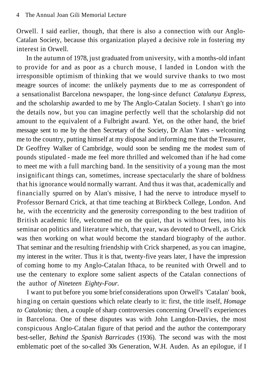Orwell. I said earlier, though, that there is also a connection with our Anglo-Catalan Society, because this organization played a decisive role in fostering my interest in Orwell.

In the autumn of 1978, just graduated from university, with a months-old infant to provide for and as poor as a church mouse, I landed in London with the irresponsible optimism of thinking that we would survive thanks to two most meagre sources of income: the unlikely payments due to me as correspondent of a sensationalist Barcelona newspaper, the long-since defunct *Catalunya Express,* and the scholarship awarded to me by The Anglo-Catalan Society. I shan't go into the details now, but you can imagine perfectly well that the scholarship did not amount to the equivalent of a Fulbright award. Yet, on the other hand, the brief message sent to me by the then Secretary of the Society, Dr Alan Yates - welcoming me to the country, putting himself at my disposal and informing me that the Treasurer, Dr Geoffrey Walker of Cambridge, would soon be sending me the modest sum of pounds stipulated - made me feel more thrilled and welcomed than if he had come to meet me with a full marching band. In the sensitivity of a young man the most insignificant things can, sometimes, increase spectacularly the share of boldness that his ignorance would normally warrant. And thus it was that, academically and financially spurred on by Alan's missive, I had the nerve to introduce myself to Professor Bernard Crick, at that time teaching at Birkbeck College, London. And he, with the eccentricity and the generosity corresponding to the best tradition of British academic life, welcomed me on the quiet, that is without fees, into his seminar on politics and literature which, that year, was devoted to Orwell, as Crick was then working on what would become the standard biography of the author. That seminar and the resulting friendship with Crick sharpened, as you can imagine, my interest in the writer. Thus it is that, twenty-five years later, I have the impression of coming home to my Anglo-Catalan Ithaca, to be reunited with Orwell and to use the centenary to explore some salient aspects of the Catalan connections of the author *of Nineteen Eighty-Four.*

I want to put before you some brief considerations upon Orwell's 'Catalan' book, hinging on certain questions which relate clearly to it: first, the title itself, *Homage to Catalonia;* then, a couple of sharp controversies concerning Orwell's experiences in Barcelona. One of these disputes was with John Langdon-Davies, the most conspicuous Anglo-Catalan figure of that period and the author the contemporary best-seller, *Behind the Spanish Barricades* (1936). The second was with the most emblematic poet of the so-called 30s Generation, W.H. Auden. As an epilogue, if I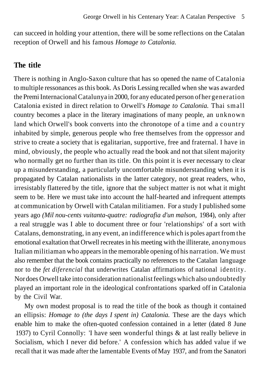can succeed in holding your attention, there will be some reflections on the Catalan reception of Orwell and his famous *Homage to Catalonia.*

## **The title**

There is nothing in Anglo-Saxon culture that has so opened the name of Catalonia to multiple ressonances as this book. As Doris Lessing recalled when she was awarded the Premi Internacional Catalunya in 2000, for any educated person of her generation Catalonia existed in direct relation to Orwell's *Homage to Catalonia.* Thai small country becomes a place in the literary imaginations of many people, an unknown land which Orwell's book converts into the chronotope of a time and a country inhabited by simple, generous people who free themselves from the oppressor and strive to create a society that is egalitarian, supportive, free and fraternal. I have in mind, obviously, the people who actually read the book and not that silent majority who normally get no further than its title. On this point it is ever necessary to clear up a misunderstanding, a particularly uncomfortable misunderstanding when it is propagated by Catalan nationalists in the latter category, not great readers, who, irresistably flattered by the title, ignore that the subject matter is not what it might seem to be. Here we must take into account the half-hearted and infrequent attempts at communication by Orwell with Catalan militiamen. For a study I published some years ago *(Mil nou-cents vuitanta-quatre: radiografia d'un malson,* 1984), only after a real struggle was I able to document three or four 'relationships' of a sort with Catalans, demonstrating, in any event, an indifference which is poles apart from the emotional exaltation that Orwell recreates in his meeting with the illiterate, anonymous Italian militiaman who appears in the memorable opening of his narration. We must also remember that the book contains practically no references to the Catalan language nor to the *fet diferencial* that underwrites Catalan affirmations of national identity. Nor does Orwell take into consideration nationalist feelings which also undoubtedly played an important role in the ideological confrontations sparked off in Catalonia by the Civil War.

My own modest proposal is to read the title of the book as though it contained an ellipsis: *Homage to (the days I spent in) Catalonia.* These are the days which enable him to make the often-quoted confession contained in a letter (dated 8 June 1937) to Cyril Connolly: 'I have seen wonderful things & at last really believe in Socialism, which I never did before.' A confession which has added value if we recall that it was made after the lamentable Events of May 1937, and from the Sanatori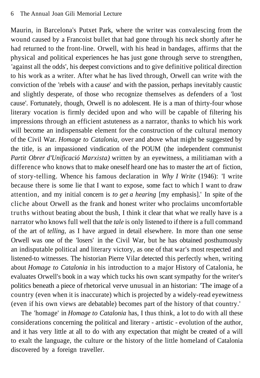Maurin, in Barcelona's Putxet Park, where the writer was convalescing from the wound caused by a Francoist bullet that had gone through his neck shortly after he had returned to the front-line. Orwell, with his head in bandages, affirms that the physical and political experiences he has just gone through serve to strengthen, 'against all the odds', his deepest convictions and to give definitive political direction to his work as a writer. After what he has lived through, Orwell can write with the conviction of the 'rebels with a cause' and with the passion, perhaps inevitably caustic and slightly desperate, of those who recognize themselves as defenders of a 'lost cause'. Fortunately, though, Orwell is no adolescent. He is a man of thirty-four whose literary vocation is firmly decided upon and who will be capable of filtering his impressions through an efficient astuteness as a narrator, thanks to which his work will become an indispensable element for the construction of the cultural memory of the Civil War. *Homage to Catalonia,* over and above what might be suggested by the title, is an impassioned vindication of the POUM (the independent communist *Partit Obrer d'Unificació Marxista)* written by an eyewitness, a militiaman with a difference who knows that to make oneself heard one has to master the art of fiction, of story-telling. Whence his famous declaration in *Why I Write* (1946): 'I write because there is some lie that I want to expose, some fact to which I want to draw attention, and my initial concern is *to get a hearing* [my emphasis].' In spite of the cliche about Orwell as the frank and honest writer who proclaims uncomfortable truths without beating about the bush, I think it clear that what we really have is a narrator who knows full well that the *tale* is only listened to if there is a full command of the art of *telling,* as I have argued in detail elsewhere. In more than one sense Orwell was one of the 'losers' in the Civil War, but he has obtained posthumously an indisputable political and literary victory, as one of that war's most respected and listened-to witnesses. The historian Pierre Vilar detected this perfectly when, writing about *Homage to Catalonia* in his introduction to a major History of Catalonia, he evaluates Orwell's book in a way which tucks his own scant sympathy for the writer's politics beneath a piece of rhetorical verve unusual in an historian: 'The image of a country (even when it is inaccurate) which is projected by a widely-read eyewitness (even if his own views are debatable) becomes part of the history of that country.'

The 'homage' in *Homage to Catalonia* has, I thus think, a lot to do with all these considerations concerning the political and literary - artistic - evolution of the author, and it has very little at all to do with any expectation that might be created of a will to exalt the language, the culture or the history of the little homeland of Catalonia discovered by a foreign traveller.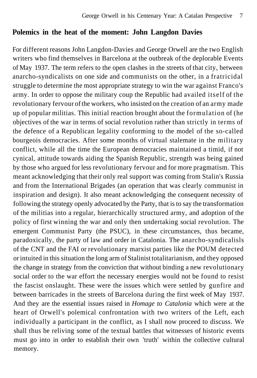## **Polemics in the heat of the moment: John Langdon Davies**

For different reasons John Langdon-Davies and George Orwell are the two English writers who find themselves in Barcelona at the outbreak of the deplorable Events of May 1937. The term refers to the open clashes in the streets of that city, between anarcho-syndicalists on one side and communists on the other, in a fratricidal struggle to determine the most appropriate strategy to win the war against Franco's army. In order to oppose the military coup the Republic had availed itself of the revolutionary fervour of the workers, who insisted on the creation of an army made up of popular militias. This initial reaction brought about the formulation of (he objectives of the war in terms of social revolution rather than strictly in terms of the defence of a Republican legality conforming to the model of the so-called bourgeois democracies. After some months of virtual stalemate in the military conflict, while all the time the European democracies maintained a timid, if not cynical, attitude towards aiding the Spanish Republic, strength was being gained by those who argued for less revolutionary fervour and for more pragmatism. This meant acknowledging that their only real support was coming from Stalin's Russia and from the International Brigades (an operation that was clearly communist in inspiration and design). It also meant acknowledging the consequent necessity of following the strategy openly advocated by the Party, that is to say the transformation of the militias into a regular, hierarchically structured army, and adoption of the policy of first winning the war and only then undertaking social revolution. The emergent Communist Party (the PSUC), in these circumstances, thus became, paradoxically, the party of law and order in Catalonia. The anarcho-syndicalisls of the CNT and the FAI or revolutionary marxist parties like the POUM detected or intuited in this situation the long arm of Stalinist totalitarianism, and they opposed the change in strategy from the conviction that without binding a new revolutionary social order to the war effort the necessary energies would not be found to resist the fascist onslaught. These were the issues which were settled by gunfire and between barricades in the streets of Barcelona during the first week of May 1937. And they are the essential issues raised in *Homage to Catalonia* which were at the heart of Orwell's polemical confrontation with two writers of the Left, each individually a participant in the conflict, as I shall now proceed to discuss. We shall thus be reliving some of the textual battles that witnesses of historic events must go into in order to establish their own 'truth' within the collective cultural memory.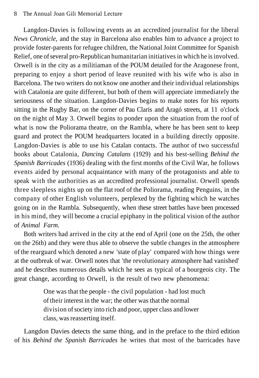#### 8 The Annual Joan Gili Memorial Lecture

Langdon-Davies is following events as an accredited journalist for the liberal *News Chronicle,* and the stay in Barcelona also enables him to advance a project to provide foster-parents for refugee children, the National Joint Committee for Spanish Relief, one of several pro-Republican humanitarian initiatives in which he is involved. Orwell is in the city as a militiaman of the POUM detailed for the Aragonese front, preparing to enjoy a short period of leave reunited with his wife who is also in Barcelona. The two writers do not know one another and their individual relationships with Catalonia are quite different, but both of them will appreciate immediately the seriousness of the situation. Langdon-Davies begins to make notes for his reports sitting in the Rugby Bar, on the corner of Pau Claris and Aragó streets, at 11 o'clock on the night of May 3. Orwell begins to ponder upon the situation from the roof of what is now the Poliorama theatre, on the Rambla, where he has been sent to keep guard and protect the POUM headquarters located in a building directly opposite. Langdon-Davies is able to use his Catalan contacts. The author of two successful books about Catalonia, *Dancing Catalans* (1929) and his best-selling *Behind the Spanish Barricades* (1936) dealing with the first months of the Civil War, he follows events aided by personal acquaintance with many of the protagonists and able to speak with the authorities as an accredited professional journalist. Orwell spends three sleepless nights up on the flat roof of the Poliorama, reading Penguins, in the company of other English volunteers, perplexed by the fighting which he watches going on in the Rambla. Subsequently, when these street battles have been processed in his mind, they will become a crucial epiphany in the political vision of the author of *Animal Farm.*

Both writers had arrived in the city at the end of April (one on the 25th, the other on the 26th) and they were thus able to observe the subtle changes in the atmosphere of the rearguard which denoted a new 'state of play' compared with how things were at the outbreak of war. Orwell notes that 'the revolutionary atmosphere had vanished' and he describes numerous details which he sees as typical of a bourgeois city. The great change, according to Orwell, is the result of two new phenomena:

> One was that the people - the civil population - had lost much of their interest in the war; the other was that the normal division of society into rich and poor, upper class and lower class, was reasserting itself.

Langdon Davies detects the same thing, and in the preface to the third edition of his *Behind the Spanish Barricades* he writes that most of the barricades have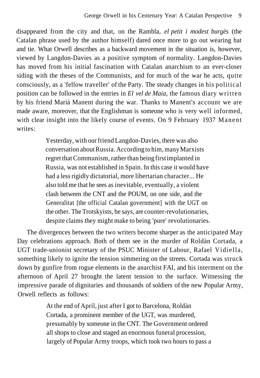disappeared from the city and that, on the Rambla, *el petit i modest burgès* (the Catalan phrase used by the author himself) dared once more to go out wearing hat and tie. What Orwell describes as a backward movement in the situation is, however, viewed by Langdon-Davies as a positive symptom of normality. Langdon-Davies has moved from his initial fascination with Catalan anarchism to an ever-closer siding with the theses of the Communists, and for much of the war he acts, quite consciously, as a 'fellow traveller' of the Party. The steady changes in his political position can be followed in the entries in *El vel de Maia,* the famous diary written by his friend Marià Manent during the war. Thanks to Manent's account we are made aware, moreover, that the Englishman is someone who is very well informed, with clear insight into the likely course of events. On 9 February 1937 Manent writes:

> Yesterday, with our friend Langdon-Davies, there was also conversation about Russia. According to him, many Marxists regret that Communism, rather than being first implanted in Russia, was not established in Spain. In this case it would have had a less rigidly dictatorial, more libertarian character... He also told me that he sees as inevitable, eventually, a violent clash between the CNT and the POUM, on one side, and the Generalitat [the official Catalan government] with the UGT on the other. The Trotskyists, he says, are counter-revolutionaries, despite claims they might make to being 'pure' revolutionaries.

The divergences between the two writers become sharper as the anticipated May Day celebrations approach. Both of them see in the murder of Roldàn Cortada, a UGT trade-unionist secretary of the PSUC Minister of Labour, Rafael Vidiella, something likely to ignite the tension simmering on the streets. Cortada was struck down by gunfire from rogue elements in the anarchist FAI, and his interment on the afternoon of April 27 brought the latent tension to the surface. Witnessing the impressive parade of dignitaries and thousands of soldiers of the new Popular Army, Orwell reflects as follows:

> At the end of April, just after I got to Barcelona, Roldàn Cortada, a prominent member of the UGT, was murdered, presumably by someone in the CNT. The Government ordered all shops to close and staged an enormous funeral procession, largely of Popular Army troops, which took two hours to pass a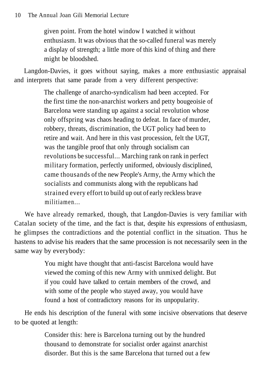given point. From the hotel window I watched it without enthusiasm. It was obvious that the so-called funeral was merely a display of strength; a little more of this kind of thing and there might be bloodshed.

Langdon-Davies, it goes without saying, makes a more enthusiastic appraisal and interprets that same parade from a very different perspective:

> The challenge of anarcho-syndicalism had been accepted. For the first time the non-anarchist workers and petty bougeoisie of Barcelona were standing up against a social revolution whose only offspring was chaos heading to defeat. In face of murder, robbery, threats, discrimination, the UGT policy had been to retire and wait. And here in this vast procession, felt the UGT, was the tangible proof that only through socialism can revolutions be successful... Marching rank on rank in perfect military formation, perfectly uniformed, obviously disciplined, came thousands of the new People's Army, the Army which the socialists and communists along with the republicans had strained every effort to build up out of early reckless brave militiamen...

We have already remarked, though, that Langdon-Davies is very familiar with Catalan society of the time, and the fact is that, despite his expressions of enthusiasm, he glimpses the contradictions and the potential conflict in the situation. Thus he hastens to advise his readers that the same procession is not necessarily seen in the same way by everybody:

> You might have thought that anti-fascist Barcelona would have viewed the coming of this new Army with unmixed delight. But if you could have talked to certain members of the crowd, and with some of the people who stayed away, you would have found a host of contradictory reasons for its unpopularity.

He ends his description of the funeral with some incisive observations that deserve to be quoted at length:

> Consider this: here is Barcelona turning out by the hundred thousand to demonstrate for socialist order against anarchist disorder. But this is the same Barcelona that turned out a few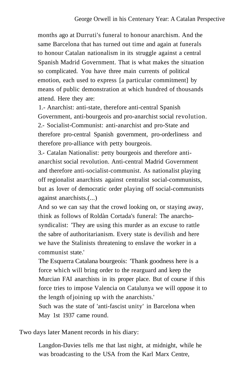months ago at Durruti's funeral to honour anarchism. And the same Barcelona that has turned out time and again at funerals to honour Catalan nationalism in its struggle against a central Spanish Madrid Government. That is what makes the situation so complicated. You have three main currents of political emotion, each used to express [a particular commitment] by means of public demonstration at which hundred of thousands attend. Here they are:

1.- Anarchist: anti-state, therefore anti-central Spanish Government, anti-bourgeois and pro-anarchist social revolution. 2.- Socialist-Communist: anti-anarchist and pro-State and therefore pro-central Spanish government, pro-orderliness and therefore pro-alliance with petty bourgeois.

3.- Catalan Nationalist: petty bourgeois and therefore antianarchist social revolution. Anti-central Madrid Government and therefore anti-socialist-communist. As nationalist playing off regionalist anarchists against centralist social-communists, but as lover of democratic order playing off social-communists against anarchists.(...)

And so we can say that the crowd looking on, or staying away, think as follows of Roldàn Cortada's funeral: The anarchosyndicalist: 'They are using this murder as an excuse to rattle the sabre of authoritarianism. Every state is devilish and here we have the Stalinists threatening to enslave the worker in a communist state.'

The Esquerra Catalana bourgeois: 'Thank goodness here is a force which will bring order to the rearguard and keep the Murcian FAI anarchists in its proper place. But of course if this force tries to impose Valencia on Catalunya we will oppose it to the length of joining up with the anarchists.'

Such was the state of 'anti-fascist unity' in Barcelona when May 1st 1937 came round.

Two days later Manent records in his diary:

Langdon-Davies tells me that last night, at midnight, while he was broadcasting to the USA from the Karl Marx Centre,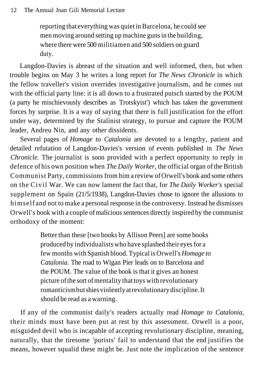#### 12 The Annual Joan Gili Memorial Lecture

reporting that everything was quiet in Barcelona, he could see men moving around setting up machine guns in the building, where there were 500 militiamen and 500 soldiers on guard duty.

Langdon-Davies is abreast of the situation and well informed, then, but when trouble begins on May 3 he writes a long report for *The News Chronicle* in which the fellow traveller's vision overrides investigative journalism, and he comes out with the official party line: it is all down to a frustrated putsch started by the POUM (a party he mischievously describes as Trotskyist') which has taken the government forces by surprise. It is a way of saying that there is full justification for the effort under way, determined by the Stalinist strategy, to pursue and capture the POUM leader, Andreu Nin, and any other dissidents.

Several pages of *Homage to Catalonia* are devoted to a lengthy, patient and detailed refutation of Langdon-Davies's version of events published in *The News Chronicle.* The journalist is soon provided with a perfect opportunity to reply in defence of his own position when *The Daily Worker,* the official organ of the British Communist Party, commissions from him a review of Orwell's book and some others on the Civil War. We can now lament the fact that, for *The Daily Worker's* special supplement on Spain (21/5/1938), Langdon-Davies chose to ignore the allusions to himself and not to make a personal response in the controversy. Instead he dismisses Orwell's book with a couple of malicious sentences directly inspired by the communist orthodoxy of the moment:

> Better than these [two books by Allison Peers] are some books produced by individualists who have splashed their eyes for a few months with Spanish blood. Typical is Orwell's *Homage to Catalonia.* The road to Wigan Pier leads on to Barcelona and the POUM. The value of the book is that it gives an honest picture of the sort of mentality that toys with revolutionary romanticism but shies violently at revolutionary discipline. It should be read as a warning.

If any of the communist daily's readers actually read *Homage to Catalonia,* their minds must have been put at rest by this assessment. Orwell is a poor, misguided devil who is incapable of accepting revolutionary discipline, meaning, naturally, that the tiresome 'purists' fail to understand that the end justifies the means, however squalid these might be. Just note the implication of the sentence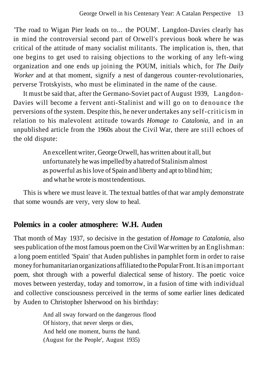'The road to Wigan Pier leads on to... the POUM'. Langdon-Davies clearly has in mind the controversial second part of Orwell's previous book where he was critical of the attitude of many socialist militants. The implication is, then, that one begins to get used to raising objections to the working of any left-wing organization and one ends up joining the POUM, initials which, for *The Daily Worker* and at that moment, signify a nest of dangerous counter-revolutionaries, perverse Trotskyists, who must be eliminated in the name of the cause.

It must be said that, after the Germano-Soviet pact of August 1939, Langdon-Davies will become a fervent anti-Stalinist and will go on to denounce the perversions of the system. Despite this, he never undertakes any self-criticism in relation to his malevolent attitude towards *Homage to Catalonia,* and in an unpublished article from the 1960s about the Civil War, there are still echoes of the old dispute:

> An excellent writer, George Orwell, has written about it all, but unfortunately he was impelled by a hatred of Stalinism almost as powerful as his love of Spain and liberty and apt to blind him; and what he wrote is most tendentious.

This is where we must leave it. The textual battles of that war amply demonstrate that some wounds are very, very slow to heal.

# **Polemics in a cooler atmosphere: W.H. Auden**

That month of May 1937, so decisive in the gestation of *Homage to Catalonia,* also sees publication of the most famous poem on the Civil War written by an Englishman: a long poem entitled 'Spain' that Auden publishes in pamphlet form in order to raise money for humanitarian organizations affiliated to the Popular Front. It is an important poem, shot through with a powerful dialectical sense of history. The poetic voice moves between yesterday, today and tomorrow, in a fusion of time with individual and collective consciousness perceived in the terms of some earlier lines dedicated by Auden to Christopher Isherwood on his birthday:

> And all sway forward on the dangerous flood Of history, that never sleeps or dies, And held one moment, burns the hand. (August for the People', August 1935)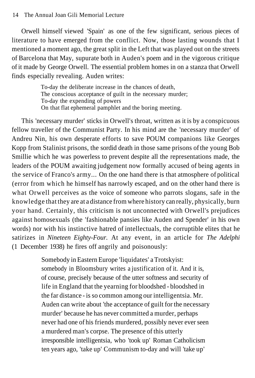#### 14 The Annual Joan Gili Memorial Lecture

Orwell himself viewed 'Spain' as one of the few significant, serious pieces of literature to have emerged from the conflict. Now, those lasting wounds that I mentioned a moment ago, the great split in the Left that was played out on the streets of Barcelona that May, supurate both in Auden's poem and in the vigorous critique of it made by George Orwell. The essential problem homes in on a stanza that Orwell finds especially revealing. Auden writes:

> To-day the deliberate increase in the chances of death, The conscious acceptance of guilt in the necessary murder; To-day the expending of powers On that flat ephemeral pamphlet and the boring meeting.

This 'necessary murder' sticks in Orwell's throat, written as it is by a conspicuous fellow traveller of the Communist Party. In his mind are the 'necessary murder' of Andreu Nin, his own desperate efforts to save POUM companions like Georges Kopp from Stalinist prisons, the sordid death in those same prisons of the young Bob Smillie which he was powerless to prevent despite all the representations made, the leaders of the POUM awaiting judgement now formally accused of being agents in the service of Franco's army... On the one hand there is that atmosphere of political (error from which he himself has narrowly escaped, and on the other hand there is what Orwell perceives as the voice of someone who parrots slogans, safe in the knowledge that they are at a distance from where history can really, physically, burn your hand. Certainly, this criticism is not unconnected with Orwell's prejudices against homosexuals (the 'fashionable pansies like Auden and Spender' in his own words) nor with his instinctive hatred of intellectuals, the corruptible elites that he satirizes in *Nineteen Eighty-Four.* At any event, in an article for *The Adelphi* (1 December 1938) he fires off angrily and poisonously:

> Somebody in Eastern Europe 'liquidates' a Trotskyist: somebody in Bloomsbury writes a justification of it. And it is, of course, precisely because of the utter softness and security of life in England that the yearning for bloodshed - bloodshed in the far distance - is so common among our intelligentsia. Mr. Auden can write about 'the acceptance of guilt for the necessary murder' because he has never committed a murder, perhaps never had one of his friends murdered, possibly never ever seen a murdered man's corpse. The presence of this utterly irresponsible intelligentsia, who 'took up' Roman Catholicism ten years ago, 'take up' Communism to-day and will 'take up'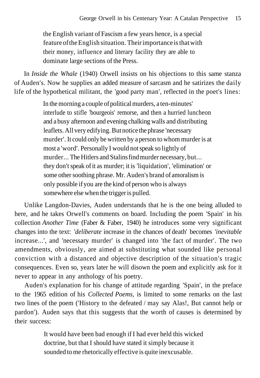the English variant of Fascism a few years hence, is a special feature of the English situation. Their importance is that with their money, influence and literary facility they are able to dominate large sections of the Press.

In *Inside the Whale* (1940) Orwell insists on his objections to this same stanza of Auden's. Now he supplies an added measure of sarcasm and he satirizes the daily life of the hypothetical militant, the 'good party man', reflected in the poet's lines:

> In the morning a couple of political murders, a ten-minutes' interlude to stifle 'bourgeois' remorse, and then a hurried luncheon and a busy afternoon and evening chalking walls and distributing leaflets. All very edifying. But notice the phrase 'necessary murder'. It could only be written by a person to whom murder is at most a 'word'. Personally I would not speak so lightly of murder... The Hitlers and Stalins find murder necessary, but... they don't speak of it as murder; it is 'liquidation', 'elimination' or some other soothing phrase. Mr. Auden's brand of amoralism is only possible if you are the kind of person who is always somewhere else when the trigger is pulled.

Unlike Langdon-Davies, Auden understands that he is the one being alluded to here, and he takes Orwell's comments on board. Including the poem 'Spain' in his collection *Another Time* (Faber & Faber, 1940) he introduces some very significant changes into the text: *'deliberate* increase in the chances of death' becomes *'inevitable* increase...', and 'necessary murder' is changed into 'the fact of murder'. The two amendments, obviously, are aimed at substituting what sounded like personal conviction with a distanced and objective description of the situation's tragic consequences. Even so, years later he will disown the poem and explicitly ask for it never to appear in any anthology of his poetry.

Auden's explanation for his change of attitude regarding 'Spain', in the preface to the 1965 edition of his *Collected Poems,* is limited to some remarks on the last two lines of the poem ('History to the defeated / may say Alas!, But cannot help or pardon'). Auden says that this suggests that the worth of causes is determined by their success:

> It would have been bad enough if I had ever held this wicked doctrine, but that I should have stated it simply because it sounded to me rhetorically effective is quite inexcusable.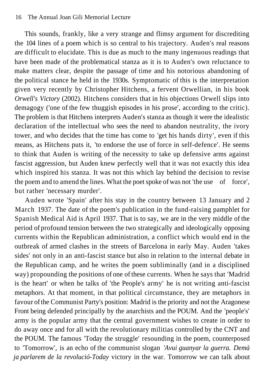This sounds, frankly, like a very strange and flimsy argument for discrediting the 104 lines of a poem which is so central to his trajectory. Auden's real reasons are difficult to elucidate. This is due as much to the many ingenuous readings that have been made of the problematical stanza as it is to Auden's own reluctance to make matters clear, despite the passage of time and his notorious abandoning of the political stance he held in the 1930s. Symptomatic of this is the interpretation given very recently by Christopher Hitchens, a fervent Orwellian, in his book *Orwell's Victory* (2002). Hitchens considers that in his objections Orwell slips into demagogy ('one of the few thuggish episodes in his prose', according to the critic). The problem is that Hitchens interprets Auden's stanza as though it were the idealistic declaration of the intellectual who sees the need to abandon neutrality, the ivory tower, and who decides that the time has come to 'get his hands dirty', even if this means, as Hitchens puts it, 'to endorse the use of force in self-defence'. He seems to think that Auden is writing of the necessity to take up defensive arms against fascist aggression, but Auden knew perfectly well that it was not exactly this idea which inspired his stanza. It was not this which lay behind the decision to revise the poem and to amend the lines. What the poet spoke of was not 'the use of force', but rather 'necessary murder'.

Auden wrote 'Spain' after his stay in the country between 13 January and 2 March 1937. The date of the poem's publication in the fund-raising pamphlet for Spanish Medical Aid is April 1937. That is to say, we are in the very middle of the period of profound tension between the two strategically and ideologically opposing currents within the Republican administration, a conflict which would end in the outbreak of armed clashes in the streets of Barcelona in early May. Auden 'takes sides' not only in an anti-fascist stance but also in relation to the internal debate in the Republican camp, and he writes the poem subliminally (and in a disciplined way) propounding the positions of one of these currents. When he says that 'Madrid is the heart' or when he talks of 'the People's army' he is not writing anti-fascist metaphors. At that moment, in that political circumstance, they are metaphors in favour of the Communist Party's position: Madrid is the priority and not the Aragonese Front being defended principally by the anarchists and the POUM. And the 'people's' army is the popular army that the central government wishes to create in order to do away once and for all with the revolutionary militias controlled by the CNT and the POUM. The famous 'Today the struggle' resounding in the poem, counterposed to 'Tomorrow', is an echo of the communist slogan *'Avui guanyar la guerra. Demà ja parlarem de la revolució-Today* victory in the war. Tomorrow we can talk about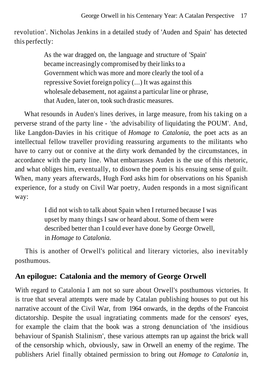revolution'. Nicholas Jenkins in a detailed study of 'Auden and Spain' has detected this perfectly:

> As the war dragged on, the language and structure of 'Spain' became increasingly compromised by their links to a Government which was more and more clearly the tool of a repressive Soviet foreign policy (...) It was against this wholesale debasement, not against a particular line or phrase, that Auden, later on, took such drastic measures.

What resounds in Auden's lines derives, in large measure, from his taking on a perverse strand of the party line - 'the advisability of liquidating the POUM'. And, like Langdon-Davies in his critique of *Homage to Catalonia,* the poet acts as an intellectual fellow traveller providing reassuring arguments to the militants who have to carry out or connive at the dirty work demanded by the circumstances, in accordance with the party line. What embarrasses Auden is the use of this rhetoric, and what obliges him, eventually, to disown the poem is his ensuing sense of guilt. When, many years afterwards, Hugh Ford asks him for observations on his Spanish experience, for a study on Civil War poetry, Auden responds in a most significant way:

> I did not wish to talk about Spain when I returned because I was upset by many things I saw or heard about. Some of them were described better than I could ever have done by George Orwell, in *Homage to Catalonia.*

This is another of Orwell's political and literary victories, also inevitably posthumous.

# **An epilogue: Catalonia and the memory of George Orwell**

With regard to Catalonia I am not so sure about Orwell's posthumous victories. It is true that several attempts were made by Catalan publishing houses to put out his narrative account of the Civil War, from 1964 onwards, in the depths of the Francoist dictatorship. Despite the usual ingratiating comments made for the censors' eyes, for example the claim that the book was a strong denunciation of 'the insidious behaviour of Spanish Stalinism', these various attempts ran up against the brick wall of the censorship which, obviously, saw in Orwell an enemy of the regime. The publishers Ariel finally obtained permission to bring out *Homage to Catalonia* in,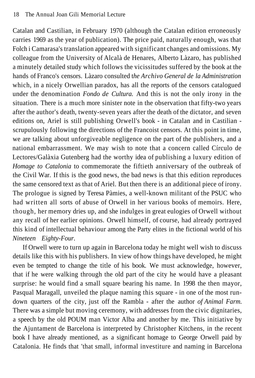Catalan and Castilian, in February 1970 (although the Catalan edition erroneously carries 1969 as the year of publication). The price paid, naturally enough, was that Folch i Camarasa's translation appeared with significant changes and omissions. My colleague from the University of Alcalà de Henares, Alberto Làzaro, has published a minutely detailed study which follows the vicissitudes suffered by the book at the hands of Franco's censors. Làzaro consulted t*he Archivo General de la Administration* which, in a nicely Orwellian paradox, has all the reports of the censors catalogued under the denomination *Fondo de Cultura.* And this is not the only irony in the situation. There is a much more sinister note in the observation that fifty-two years after the author's death, twenty-seven years after the death of the dictator, and seven editions on, Ariel is still publishing Orwell's book - in Catalan and in Castilian scrupulously following the directions of the Francoist censors. At this point in time, we are talking about unforgiveable negligence on the part of the publishers, and a national embarrassment. We may wish to note that a concern called Círculo de Lectores/Galàxia Gutenberg had the worthy idea of publishing a luxury edition of *Homage to Catalonia* to commemorate the fiftieth anniversary of the outbreak of the Civil War. If this is the good news, the bad news is that this edition reproduces the same censored text as that of Ariel. But then there is an additional piece of irony. The prologue is signed by Teresa Pàmies, a well-known militant of the PSUC who had written all sorts of abuse of Orwell in her various books of memoirs. Here, though, her memory dries up, and she indulges in great eulogies of Orwell without any recall of her earlier opinions. Orwell himself, of course, had already portrayed this kind of intellectual behaviour among the Party elites in the fictional world of his *Nineteen Eighty-Four.*

If Orwell were to turn up again in Barcelona today he might well wish to discuss details like this with his publishers. In view of how things have developed, he might even be tempted to change the title of his book. We must acknowledge, however, that if he were walking through the old part of the city he would have a pleasant surprise: he would find a small square bearing his name. In 1998 the then mayor, Pasqual Maragall, unveiled the plaque naming this square - in one of the most rundown quarters of the city, just off the Rambla - after the author *of Animal Farm.* There was a simple but moving ceremony, with addresses from the civic dignitaries, a speech by the old POUM man Victor Alba and another by me. This initiative by the Ajuntament de Barcelona is interpreted by Christopher Kitchens, in the recent book I have already mentioned, as a significant homage to George Orwell paid by Catalonia. He finds that 'that small, informal investiture and naming in Barcelona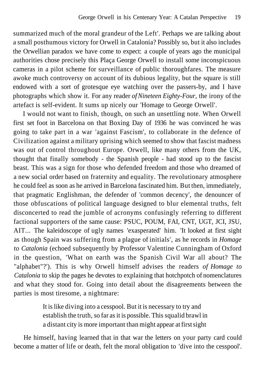summarized much of the moral grandeur of the Left'. Perhaps we are talking about a small posthumous victory for Orwell in Catalonia? Possibly so, but it also includes the Orwellian paradox we have come to expect: a couple of years ago the municipal authorities chose precisely this Plaça George Orwell to install some inconspicuous cameras in a pilot scheme for surveillance of public thoroughfares. The measure awoke much controversy on account of its dubious legality, but the square is still endowed with a sort of grotesque eye watching over the passers-by, and I have photographs which show it. For any reader *of Nineteen Eighty-Four,* the irony of the artefact is self-evident. It sums up nicely our 'Homage to George Orwell'.

I would not want to finish, though, on such an unsettling note. When Orwell first set foot in Barcelona on that Boxing Day of 1936 he was convinced he was going to take part in a war 'against Fascism', to collaborate in the defence of Civilization against a military uprising which seemed to show that fascist madness was out of control throughout Europe. Orwell, like many others from the UK, thought that finally somebody - the Spanish people - had stood up to the fascist beast. This was a sign for those who defended freedom and those who dreamed of a new social order based on fraternity and equality. The revolutionary atmosphere he could feel as soon as he arrived in Barcelona fascinated him. But then, immediately, that pragmatic Englishman, the defender of 'common decency', the denouncer of those obfuscations of political language designed to blur elemental truths, felt disconcerted to read the jumble of acronyms confusingly referring to different factional supporters of the same cause: PSUC, POUM, FAI, CNT, UGT, JCI, JSU, AIT... The kaleidoscope of ugly names 'exasperated' him. 'It looked at first sight as though Spain was suffering from a plague of initials', as he records in *Homage to Catalonia* (echoed subsequently by Professor Valentine Cunningham of Oxford in the question, 'What on earth was the Spanish Civil War all about? The "alphabet"?'). This is why Orwell himself advises the readers *of Homage to Catalonia* to skip the pages he devotes to explaining that hotchpotch of nomenclatures and what they stood for. Going into detail about the disagreements between the parties is most tiresome, a nightmare:

> It is like diving into a cesspool. But it is necessary to try and establish the truth, so far as it is possible. This squalid brawl in a distant city is more important than might appear at first sight

He himself, having learned that in that war the letters on your party card could become a matter of life or death, felt the moral obligation to 'dive into the cesspool'.